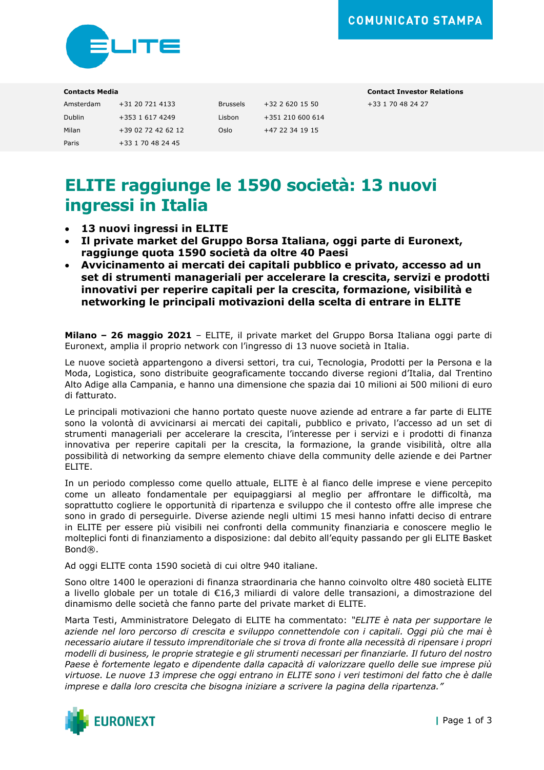

| Amsterdam | +31 20 721 4133    | <b>Brussels</b> |
|-----------|--------------------|-----------------|
| Dublin    | +353 1 617 4249    | Lisbon          |
| Milan     | +39 02 72 42 62 12 | Oslo            |
| Paris     | +33 1 70 48 24 45  |                 |

+32 2 620 15 50 +33 1 70 48 24 27  $+351$  210 600 614  $+47$  22 34 19 15

**Contacts Media Contact Investor Relations**

# **ELITE raggiunge le 1590 società: 13 nuovi ingressi in Italia**

- **13 nuovi ingressi in ELITE**
- **Il private market del Gruppo Borsa Italiana, oggi parte di Euronext, raggiunge quota 1590 società da oltre 40 Paesi**
- **Avvicinamento ai mercati dei capitali pubblico e privato, accesso ad un set di strumenti manageriali per accelerare la crescita, servizi e prodotti innovativi per reperire capitali per la crescita, formazione, visibilità e networking le principali motivazioni della scelta di entrare in ELITE**

**Milano – 26 maggio 2021** – ELITE, il private market del Gruppo Borsa Italiana oggi parte di Euronext, amplia il proprio network con l'ingresso di 13 nuove società in Italia.

Le nuove società appartengono a diversi settori, tra cui, Tecnologia, Prodotti per la Persona e la Moda, Logistica, sono distribuite geograficamente toccando diverse regioni d'Italia, dal Trentino Alto Adige alla Campania, e hanno una dimensione che spazia dai 10 milioni ai 500 milioni di euro di fatturato.

Le principali motivazioni che hanno portato queste nuove aziende ad entrare a far parte di ELITE sono la volontà di avvicinarsi ai mercati dei capitali, pubblico e privato, l'accesso ad un set di strumenti manageriali per accelerare la crescita, l'interesse per i servizi e i prodotti di finanza innovativa per reperire capitali per la crescita, la formazione, la grande visibilità, oltre alla possibilità di networking da sempre elemento chiave della community delle aziende e dei Partner ELITE.

In un periodo complesso come quello attuale, ELITE è al fianco delle imprese e viene percepito come un alleato fondamentale per equipaggiarsi al meglio per affrontare le difficoltà, ma soprattutto cogliere le opportunità di ripartenza e sviluppo che il contesto offre alle imprese che sono in grado di perseguirle. Diverse aziende negli ultimi 15 mesi hanno infatti deciso di entrare in ELITE per essere più visibili nei confronti della community finanziaria e conoscere meglio le molteplici fonti di finanziamento a disposizione: dal debito all'equity passando per gli ELITE Basket Bond®.

Ad oggi ELITE conta 1590 società di cui oltre 940 italiane.

Sono oltre 1400 le operazioni di finanza straordinaria che hanno coinvolto oltre 480 società ELITE a livello globale per un totale di €16,3 miliardi di valore delle transazioni, a dimostrazione del dinamismo delle società che fanno parte del private market di ELITE.

Marta Testi, Amministratore Delegato di ELITE ha commentato: *"ELITE è nata per supportare le aziende nel loro percorso di crescita e sviluppo connettendole con i capitali. Oggi più che mai è necessario aiutare il tessuto imprenditoriale che si trova di fronte alla necessità di ripensare i propri modelli di business, le proprie strategie e gli strumenti necessari per finanziarle. Il futuro del nostro Paese è fortemente legato e dipendente dalla capacità di valorizzare quello delle sue imprese più virtuose. Le nuove 13 imprese che oggi entrano in ELITE sono i veri testimoni del fatto che è dalle*  imprese e dalla loro crescita che bisogna iniziare a scrivere la pagina della ripartenza."

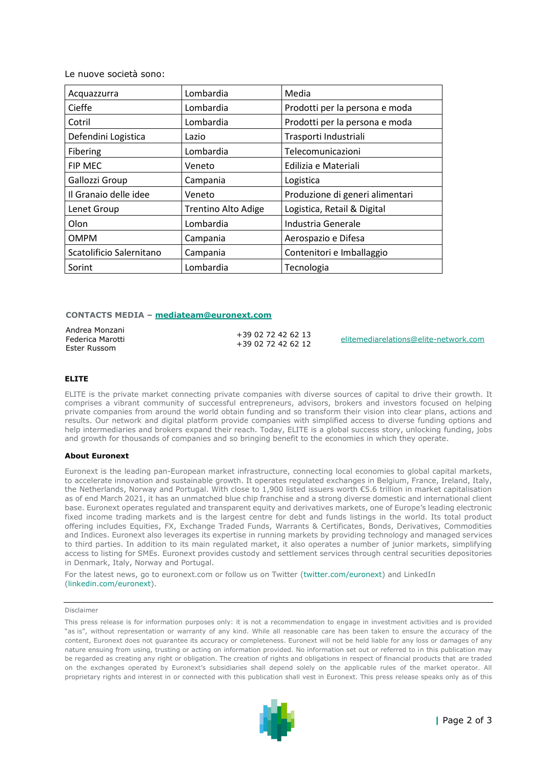Le nuove società sono:

| Acquazzurra              | Lombardia                  | Media                           |
|--------------------------|----------------------------|---------------------------------|
| Cieffe                   | Lombardia                  | Prodotti per la persona e moda  |
| Cotril                   | Lombardia                  | Prodotti per la persona e moda  |
| Defendini Logistica      | Lazio                      | Trasporti Industriali           |
| Fibering                 | Lombardia                  | Telecomunicazioni               |
| <b>FIP MEC</b>           | Veneto                     | Edilizia e Materiali            |
| Gallozzi Group           | Campania                   | Logistica                       |
| Il Granaio delle idee    | Veneto                     | Produzione di generi alimentari |
| Lenet Group              | <b>Trentino Alto Adige</b> | Logistica, Retail & Digital     |
| Olon                     | Lombardia                  | Industria Generale              |
| <b>OMPM</b>              | Campania                   | Aerospazio e Difesa             |
| Scatolificio Salernitano | Campania                   | Contenitori e Imballaggio       |
| Sorint                   | Lombardia                  | Tecnologia                      |

# **CONTACTS MEDIA – [mediateam@euronext.com](mailto:mediateam@euronext.com)**

Andrea Monzani Federica Marotti Ester Russom

+39 02 72 42 62 13

+39 02 72 42 02 13<br>+39 02 72 42 62 12<br>+39 02 72 42 62 12

# **ELITE**

ELITE is the private market connecting private companies with diverse sources of capital to drive their growth. It comprises a vibrant community of successful entrepreneurs, advisors, brokers and investors focused on helping private companies from around the world obtain funding and so transform their vision into clear plans, actions and results. Our network and digital platform provide companies with simplified access to diverse funding options and help intermediaries and brokers expand their reach. Today, ELITE is a global success story, unlocking funding, jobs and growth for thousands of companies and so bringing benefit to the economies in which they operate.

### **About Euronext**

Euronext is the leading pan-European market infrastructure, connecting local economies to global capital markets, to accelerate innovation and sustainable growth. It operates regulated exchanges in Belgium, France, Ireland, Italy, the Netherlands, Norway and Portugal. With close to 1,900 listed issuers worth €5.6 trillion in market capitalisation as of end March 2021, it has an unmatched blue chip franchise and a strong diverse domestic and international client base. Euronext operates regulated and transparent equity and derivatives markets, one of Europe's leading electronic fixed income trading markets and is the largest centre for debt and funds listings in the world. Its total product offering includes Equities, FX, Exchange Traded Funds, Warrants & Certificates, Bonds, Derivatives, Commodities and Indices. Euronext also leverages its expertise in running markets by providing technology and managed services to third parties. In addition to its main regulated market, it also operates a number of junior markets, simplifying access to listing for SMEs. Euronext provides custody and settlement services through central securities depositories in Denmark, Italy, Norway and Portugal.

For the latest news, go to euronext.com or follow us on Twitter [\(twitter.com/euronext\)](https://twitter.com/euronext) and LinkedIn [\(linkedin.com/euronext\)](https://www.linkedin.com/company/euronext/).

#### Disclaimer

This press release is for information purposes only: it is not a recommendation to engage in investment activities and is provided "as is", without representation or warranty of any kind. While all reasonable care has been taken to ensure the accuracy of the content, Euronext does not guarantee its accuracy or completeness. Euronext will not be held liable for any loss or damages of any nature ensuing from using, trusting or acting on information provided. No information set out or referred to in this publication may be regarded as creating any right or obligation. The creation of rights and obligations in respect of financial products that are traded on the exchanges operated by Euronext's subsidiaries shall depend solely on the applicable rules of the market operator. All proprietary rights and interest in or connected with this publication shall vest in Euronext. This press release speaks only as of this